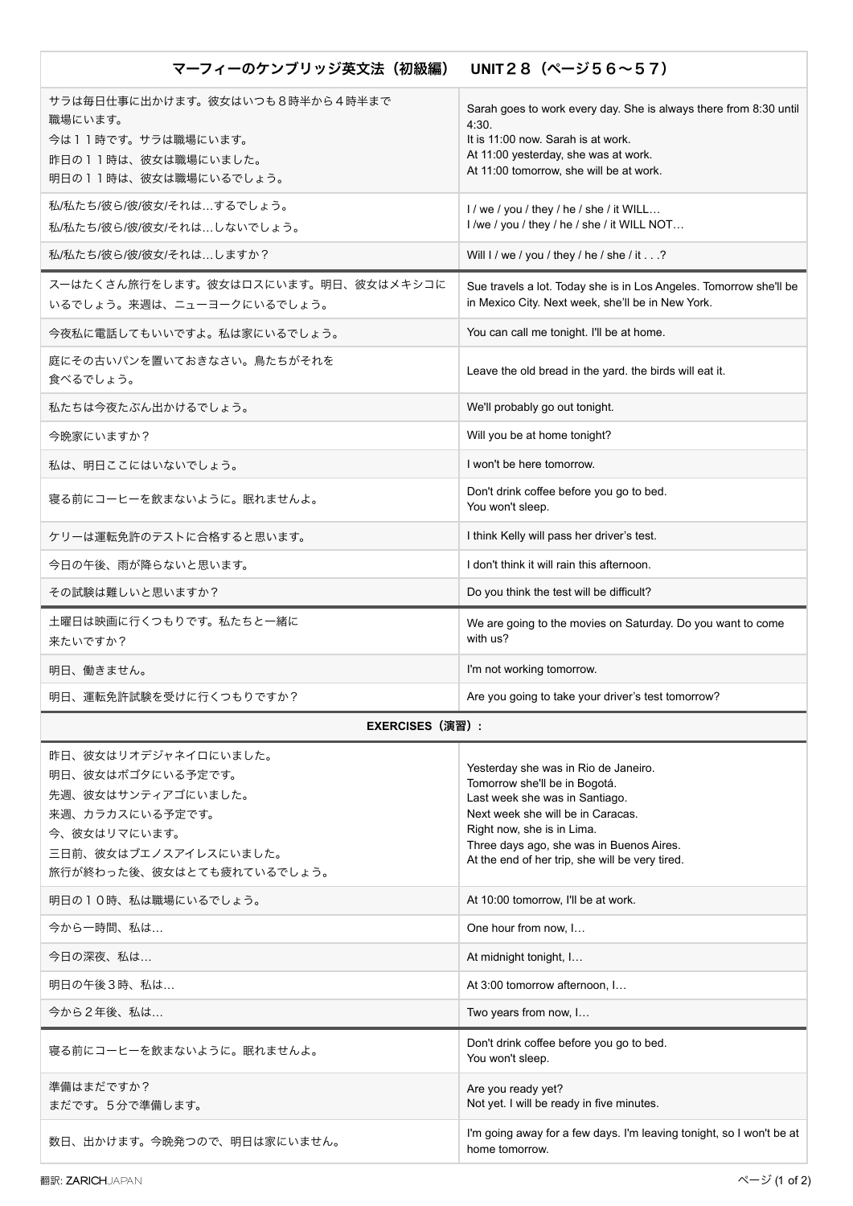| マーフィーのケンブリッジ英文法(初級編)                                                                                                                                     | UNIT 2 8 $($ $\sim$ $ \frac{356}{56}$ $\sim$ 5 7 $)$                                                                                                                                                                                                                      |
|----------------------------------------------------------------------------------------------------------------------------------------------------------|---------------------------------------------------------------------------------------------------------------------------------------------------------------------------------------------------------------------------------------------------------------------------|
| サラは毎日仕事に出かけます。彼女はいつも8時半から4時半まで<br>職場にいます。<br>今は11時です。サラは職場にいます。<br>昨日の11時は、彼女は職場にいました。<br>明日の11時は、彼女は職場にいるでしょう。                                          | Sarah goes to work every day. She is always there from 8:30 until<br>4:30.<br>It is 11:00 now. Sarah is at work.<br>At 11:00 yesterday, she was at work.<br>At 11:00 tomorrow, she will be at work.                                                                       |
| 私/私たち/彼ら/彼/彼女/それは…するでしょう。<br>私/私たち/彼ら/彼/彼女/それは…しないでしょう。                                                                                                  | I / we / you / they / he / she / it WILL<br>I /we / you / they / he / she / it WILL NOT                                                                                                                                                                                   |
| 私/私たち/彼ら/彼/彼女/それは…しますか?                                                                                                                                  | Will I / we / you / they / he / she / it?                                                                                                                                                                                                                                 |
| スーはたくさん旅行をします。彼女はロスにいます。明日、彼女はメキシコに<br>いるでしょう。来週は、ニューヨークにいるでしょう。                                                                                         | Sue travels a lot. Today she is in Los Angeles. Tomorrow she'll be<br>in Mexico City. Next week, she'll be in New York.                                                                                                                                                   |
| 今夜私に電話してもいいですよ。私は家にいるでしょう。                                                                                                                               | You can call me tonight. I'll be at home.                                                                                                                                                                                                                                 |
| 庭にその古いパンを置いておきなさい。鳥たちがそれを<br>食べるでしょう。                                                                                                                    | Leave the old bread in the yard. the birds will eat it.                                                                                                                                                                                                                   |
| 私たちは今夜たぶん出かけるでしょう。                                                                                                                                       | We'll probably go out tonight.                                                                                                                                                                                                                                            |
| 今晩家にいますか?                                                                                                                                                | Will you be at home tonight?                                                                                                                                                                                                                                              |
| 私は、明日ここにはいないでしょう。                                                                                                                                        | I won't be here tomorrow.                                                                                                                                                                                                                                                 |
| 寝る前にコーヒーを飲まないように。眠れませんよ。                                                                                                                                 | Don't drink coffee before you go to bed.<br>You won't sleep.                                                                                                                                                                                                              |
| ケリーは運転免許のテストに合格すると思います。                                                                                                                                  | I think Kelly will pass her driver's test.                                                                                                                                                                                                                                |
| 今日の午後、雨が降らないと思います。                                                                                                                                       | I don't think it will rain this afternoon.                                                                                                                                                                                                                                |
| その試験は難しいと思いますか?                                                                                                                                          | Do you think the test will be difficult?                                                                                                                                                                                                                                  |
| 土曜日は映画に行くつもりです。私たちと一緒に<br>来たいですか?                                                                                                                        | We are going to the movies on Saturday. Do you want to come<br>with us?                                                                                                                                                                                                   |
| 明日、働きません。                                                                                                                                                | I'm not working tomorrow.                                                                                                                                                                                                                                                 |
| 明日、運転免許試験を受けに行くつもりですか?                                                                                                                                   | Are you going to take your driver's test tomorrow?                                                                                                                                                                                                                        |
| EXERCISES(演習):                                                                                                                                           |                                                                                                                                                                                                                                                                           |
| 昨日、彼女はリオデジャネイロにいました。<br>明日、彼女はボゴタにいる予定です。<br>先週、彼女はサンティアゴにいました。<br>来週、カラカスにいる予定です。<br>今、彼女はリマにいます。<br>三日前、彼女はブエノスアイレスにいました。<br>旅行が終わった後、彼女はとても疲れているでしょう。 | Yesterday she was in Rio de Janeiro.<br>Tomorrow she'll be in Bogotá.<br>Last week she was in Santiago.<br>Next week she will be in Caracas.<br>Right now, she is in Lima.<br>Three days ago, she was in Buenos Aires.<br>At the end of her trip, she will be very tired. |
| 明日の10時、私は職場にいるでしょう。                                                                                                                                      | At 10:00 tomorrow, I'll be at work.                                                                                                                                                                                                                                       |
| 今から一時間、私は                                                                                                                                                | One hour from now, I                                                                                                                                                                                                                                                      |
| 今日の深夜、私は                                                                                                                                                 | At midnight tonight, I                                                                                                                                                                                                                                                    |
| 明日の午後3時、私は                                                                                                                                               | At 3:00 tomorrow afternoon, I                                                                                                                                                                                                                                             |
| 今から2年後、私は                                                                                                                                                | Two years from now, I                                                                                                                                                                                                                                                     |
| 寝る前にコーヒーを飲まないように。眠れませんよ。                                                                                                                                 | Don't drink coffee before you go to bed.<br>You won't sleep.                                                                                                                                                                                                              |
| 準備はまだですか?<br>まだです。5分で準備します。                                                                                                                              | Are you ready yet?<br>Not yet. I will be ready in five minutes.                                                                                                                                                                                                           |
| 数日、出かけます。今晩発つので、明日は家にいません。                                                                                                                               | I'm going away for a few days. I'm leaving tonight, so I won't be at                                                                                                                                                                                                      |

home tomorrow.